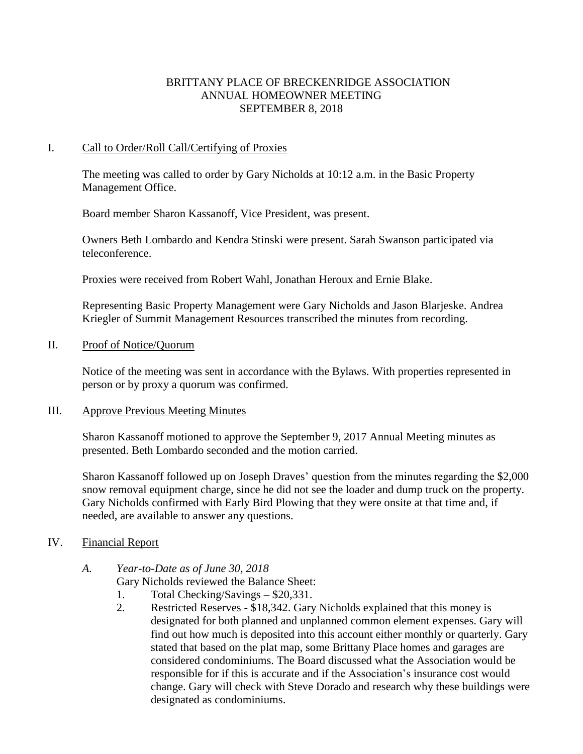# BRITTANY PLACE OF BRECKENRIDGE ASSOCIATION ANNUAL HOMEOWNER MEETING SEPTEMBER 8, 2018

## I. Call to Order/Roll Call/Certifying of Proxies

The meeting was called to order by Gary Nicholds at 10:12 a.m. in the Basic Property Management Office.

Board member Sharon Kassanoff, Vice President, was present.

Owners Beth Lombardo and Kendra Stinski were present. Sarah Swanson participated via teleconference.

Proxies were received from Robert Wahl, Jonathan Heroux and Ernie Blake.

Representing Basic Property Management were Gary Nicholds and Jason Blarjeske. Andrea Kriegler of Summit Management Resources transcribed the minutes from recording.

### II. Proof of Notice/Quorum

Notice of the meeting was sent in accordance with the Bylaws. With properties represented in person or by proxy a quorum was confirmed.

### III. Approve Previous Meeting Minutes

Sharon Kassanoff motioned to approve the September 9, 2017 Annual Meeting minutes as presented. Beth Lombardo seconded and the motion carried.

Sharon Kassanoff followed up on Joseph Draves' question from the minutes regarding the \$2,000 snow removal equipment charge, since he did not see the loader and dump truck on the property. Gary Nicholds confirmed with Early Bird Plowing that they were onsite at that time and, if needed, are available to answer any questions.

## IV. Financial Report

## *A. Year-to-Date as of June 30, 2018*

Gary Nicholds reviewed the Balance Sheet:

- 1. Total Checking/Savings \$20,331.
- 2. Restricted Reserves \$18,342. Gary Nicholds explained that this money is designated for both planned and unplanned common element expenses. Gary will find out how much is deposited into this account either monthly or quarterly. Gary stated that based on the plat map, some Brittany Place homes and garages are considered condominiums. The Board discussed what the Association would be responsible for if this is accurate and if the Association's insurance cost would change. Gary will check with Steve Dorado and research why these buildings were designated as condominiums.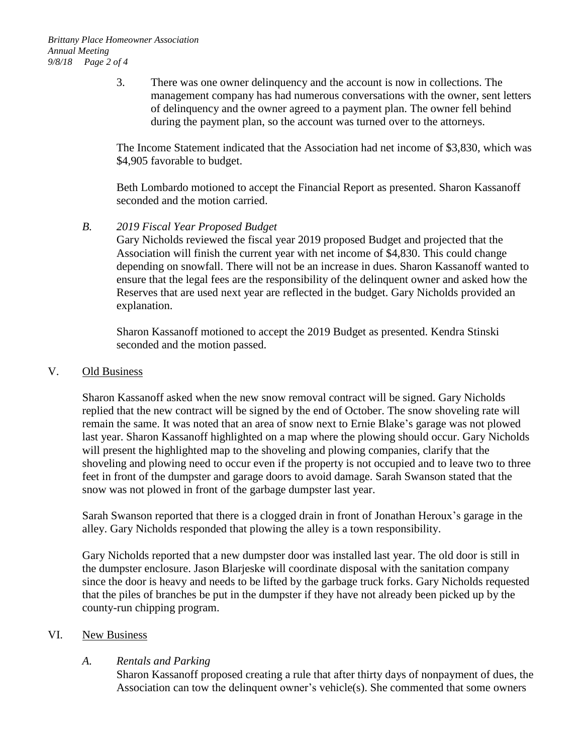3. There was one owner delinquency and the account is now in collections. The management company has had numerous conversations with the owner, sent letters of delinquency and the owner agreed to a payment plan. The owner fell behind during the payment plan, so the account was turned over to the attorneys.

The Income Statement indicated that the Association had net income of \$3,830, which was \$4,905 favorable to budget.

Beth Lombardo motioned to accept the Financial Report as presented. Sharon Kassanoff seconded and the motion carried.

## *B. 2019 Fiscal Year Proposed Budget*

Gary Nicholds reviewed the fiscal year 2019 proposed Budget and projected that the Association will finish the current year with net income of \$4,830. This could change depending on snowfall. There will not be an increase in dues. Sharon Kassanoff wanted to ensure that the legal fees are the responsibility of the delinquent owner and asked how the Reserves that are used next year are reflected in the budget. Gary Nicholds provided an explanation.

Sharon Kassanoff motioned to accept the 2019 Budget as presented. Kendra Stinski seconded and the motion passed.

## V. Old Business

Sharon Kassanoff asked when the new snow removal contract will be signed. Gary Nicholds replied that the new contract will be signed by the end of October. The snow shoveling rate will remain the same. It was noted that an area of snow next to Ernie Blake's garage was not plowed last year. Sharon Kassanoff highlighted on a map where the plowing should occur. Gary Nicholds will present the highlighted map to the shoveling and plowing companies, clarify that the shoveling and plowing need to occur even if the property is not occupied and to leave two to three feet in front of the dumpster and garage doors to avoid damage. Sarah Swanson stated that the snow was not plowed in front of the garbage dumpster last year.

Sarah Swanson reported that there is a clogged drain in front of Jonathan Heroux's garage in the alley. Gary Nicholds responded that plowing the alley is a town responsibility.

Gary Nicholds reported that a new dumpster door was installed last year. The old door is still in the dumpster enclosure. Jason Blarjeske will coordinate disposal with the sanitation company since the door is heavy and needs to be lifted by the garbage truck forks. Gary Nicholds requested that the piles of branches be put in the dumpster if they have not already been picked up by the county-run chipping program.

## VI. New Business

## *A. Rentals and Parking*

Sharon Kassanoff proposed creating a rule that after thirty days of nonpayment of dues, the Association can tow the delinquent owner's vehicle(s). She commented that some owners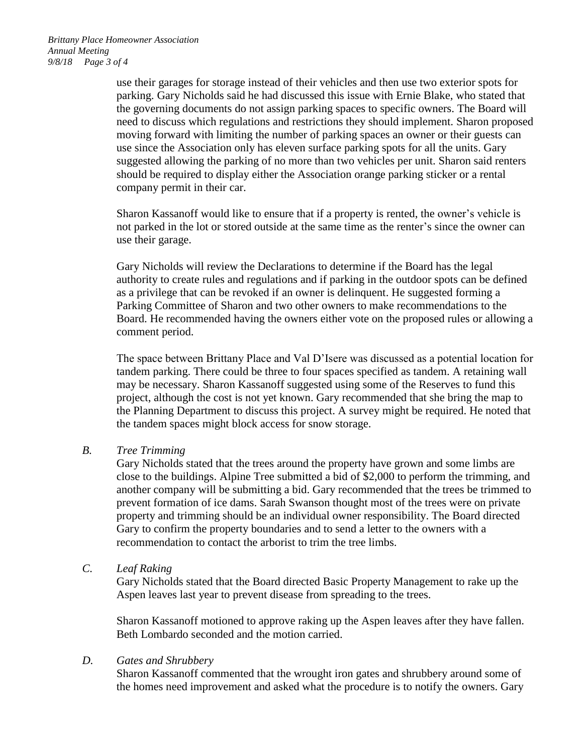use their garages for storage instead of their vehicles and then use two exterior spots for parking. Gary Nicholds said he had discussed this issue with Ernie Blake, who stated that the governing documents do not assign parking spaces to specific owners. The Board will need to discuss which regulations and restrictions they should implement. Sharon proposed moving forward with limiting the number of parking spaces an owner or their guests can use since the Association only has eleven surface parking spots for all the units. Gary suggested allowing the parking of no more than two vehicles per unit. Sharon said renters should be required to display either the Association orange parking sticker or a rental company permit in their car.

Sharon Kassanoff would like to ensure that if a property is rented, the owner's vehicle is not parked in the lot or stored outside at the same time as the renter's since the owner can use their garage.

Gary Nicholds will review the Declarations to determine if the Board has the legal authority to create rules and regulations and if parking in the outdoor spots can be defined as a privilege that can be revoked if an owner is delinquent. He suggested forming a Parking Committee of Sharon and two other owners to make recommendations to the Board. He recommended having the owners either vote on the proposed rules or allowing a comment period.

The space between Brittany Place and Val D'Isere was discussed as a potential location for tandem parking. There could be three to four spaces specified as tandem. A retaining wall may be necessary. Sharon Kassanoff suggested using some of the Reserves to fund this project, although the cost is not yet known. Gary recommended that she bring the map to the Planning Department to discuss this project. A survey might be required. He noted that the tandem spaces might block access for snow storage.

## *B. Tree Trimming*

Gary Nicholds stated that the trees around the property have grown and some limbs are close to the buildings. Alpine Tree submitted a bid of \$2,000 to perform the trimming, and another company will be submitting a bid. Gary recommended that the trees be trimmed to prevent formation of ice dams. Sarah Swanson thought most of the trees were on private property and trimming should be an individual owner responsibility. The Board directed Gary to confirm the property boundaries and to send a letter to the owners with a recommendation to contact the arborist to trim the tree limbs.

*C. Leaf Raking*

Gary Nicholds stated that the Board directed Basic Property Management to rake up the Aspen leaves last year to prevent disease from spreading to the trees.

Sharon Kassanoff motioned to approve raking up the Aspen leaves after they have fallen. Beth Lombardo seconded and the motion carried.

### *D. Gates and Shrubbery*

Sharon Kassanoff commented that the wrought iron gates and shrubbery around some of the homes need improvement and asked what the procedure is to notify the owners. Gary